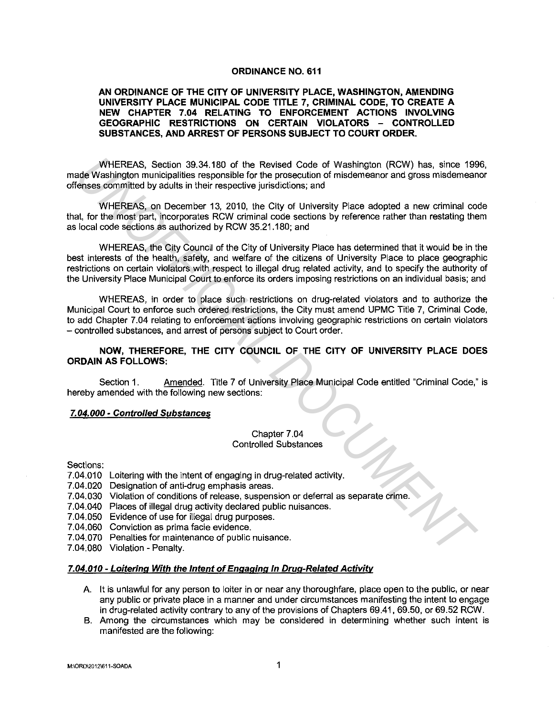### **ORDINANCE NO. 611**

## **AN ORDINANCE OF THE CITY OF UNIVERSITY PLACE, WASHINGTON, AMENDING UNIVERSITY PLACE MUNICIPAL CODE TITLE 7, CRIMINAL CODE, TO CREATE A NEW CHAPTER 7.04 RELATING TO ENFORCEMENT ACTIONS INVOLVING GEOGRAPHIC RESTRICTIONS ON CERTAIN VIOLATORS - CONTROLLED SUBSTANCES, AND ARREST OF PERSONS SUBJECT TO COURT ORDER.**

WHEREAS, Section 39.34.180 of the Revised Code of Washington (RCW) has, since 1996, made Washington municipalities responsible for the prosecution of misdemeanor and gross misdemeanor offenses committed by adults in their respective jurisdictions; and

WHEREAS, on December 13, 2010, the City of University Place adopted a new criminal code that, for the most part, incorporates RCW criminal code sections by reference rather than restating them as local code sections as authorized by RCW 35.21.180; and

WHEREAS, the City Council of the City of University Place has determined that it would be in the best interests of the health, safety, and welfare of the citizens of University Place to place geographic restrictions on certain violators with respect to illegal drug related activity, and to specify the authority of the University Place Municipal Court to enforce its orders imposing restrictions on an individual basis; and WHEREAS, Section 39.34.180 of the Revised Code of Washington (RCW) has, since 199<br>else Washington municipalities responsible for the prosecution of misdemeanor and gross misdomean<br>elses committed by adults in their respect

WHEREAS, in order to place such restrictions on drug-related violators and to authorize the Municipal Court to enforce such ordered restrictions, the City must amend UPMC Title 7, Criminal Code, to add Chapter 7.04 relating to enforcement actions involving geographic restrictions on certain violators - controlled substances, and arrest of persons subject to Court order.

## **NOW, THEREFORE, THE CITY COUNCIL OF THE CITY OF UNIVERSITY PLACE DOES ORDAIN AS FOLLOWS:**

Section 1. Amended. Title 7 of University Place Municipal Code entitled "Criminal Code," is hereby amended with the following new sections:

### **7.04.000 ·Controlled Substances**

### Chapter 7 .04 Controlled Substances

Sections:

- 7.04.010 Loitering with the intent of engaging in drug-related activity.
- 7.04.020 Designation of anti-drug emphasis areas.
- 7.04.030 Violation of conditions of release, suspension or deferral as separate crime.
- 7.04.040 Places of illegal drug activity declared public nuisances.
- 7.04.050 Evidence of use for illegal drug purposes.
- 7.04.060 Conviction as prima facie evidence.
- 7.04.070 Penalties for maintenance of public nuisance.
- 7.04.080 Violation Penalty.

### **7.04.010 - Loitering With the Intent of Engaging in Drug-Related Activity**

- A. It is unlawful for any person to loiter in or near any thoroughfare, place open to the public, or near any public or private place in a manner and under circumstances manifesting the intent to engage in drug-related activity contrary to any of the provisions of Chapters 69.41, 69.50, or 69.52 RCW.
- B. Among the circumstances which may be considered in determining whether such intent is manifested are the following: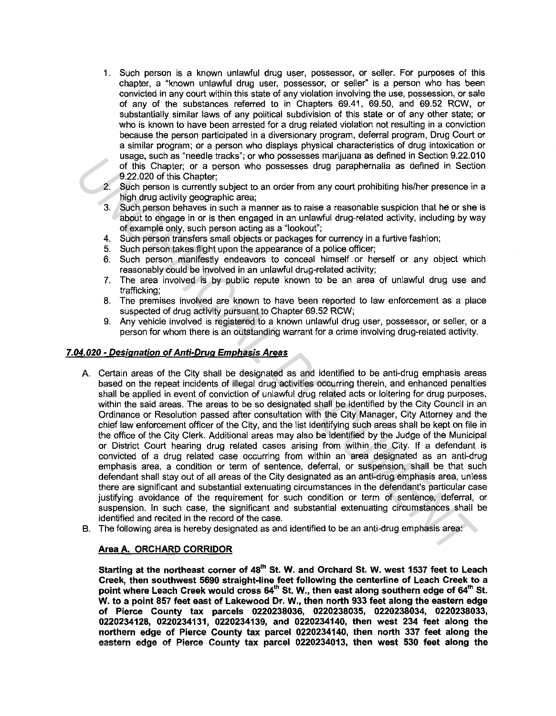- 1. Such person is a known unlawful drug user, possessor, or seller. For purposes of this chapter, a "known unlawful drug user, possessor, or seller" is a person who has been convicted in any court within this state of any violation involving the use, possession, or sale of any of the substances referred to in Chapters 69.41, 69.50, and 69.52 RCW, or substantially similar laws of any political subdivision of this state or of any other state; or who is known to have been arrested for a drug related violation not resulting in a conviction because the person participated in a diversionary program, deferral program, Drug Court or a similar program; or a person who displays physical characteristics of drug intoxication or usage, such as "needle tracks"; or who possesses marijuana as defined in Section 9.22.010 of this Chapter; or a person who possesses drug paraphernalia as defined in Section 9.22.020 of this Chapter;
- 2. Such person is currently subject to an order from any court prohibiting his/her presence in a high drug activity geographic area;
- 3. Such person behaves in such a manner as to raise a reasonable suspicion that he or she is about to engage in or is then engaged in an unlawful drug-related activity, including by way of example only, such person acting as a "lookout";
- 4. Such person transfers small objects or packages for currency in a furtive fashion;
- 5. Such person takes flight upon the appearance of a police officer;
- 6. Such person manifestly endeavors to conceal himself or herself or any object which reasonably could be involved in an unlawful drug-related activity;
- 7. The area involved is by public repute known to be an area of unlawful drug use and trafficking;
- 8. The premises involved are known to have been reported to law enforcement as a place suspected of drug activity pursuant to Chapter 69.52 RCW;
- 9. Any vehicle involved is registered to a known unlawful drug user, possessor, or seller, or a person for whom there is an outstanding warrant for a crime involving drug-related activity.

# 7.04.020 - Designation of Anti-Drug Emphasis Areas

- A. Certain areas of the City shall be designated as and identified to be anti-drug emphasis areas based on the repeat incidents of illegal drug activities occurring therein, and enhanced penalties shall be applied in event of conviction of unlawful drug related acts or loitering for drug purposes, within the said areas. The areas to be so designated shall be identified by the City Council in an Ordinance or Resolution passed after consultation with the City Manager, City Attorney and the chief law enforcement officer of the City, and the list identifying such areas shall be kept on file in the office of the City Clerk. Additional areas may also be identified by the Judge of the Municipal or District Court hearing drug related cases arising from within the City. If a defendant is convicted of a drug related case occurring from within an area designated as an anti-drug emphasis area, a condition or term of sentence, deferral, or suspension, shall be that such defendant shall stay out of all areas of the City designated as an anti-drug emphasis area, unless there are significant and substantial extenuating circumstances in the defendant's particular case justifying avoidance of the requirement for such condition or term of sentence, deferral, or suspension. In such case, the significant and substantial extenuating circumstances shall be identified and recited in the record of the case. Using the contract heater strategies and the consistent implements are there in because the consistent in the consistent in the consistent in the consistent in the consistent in the consistent of the consistent parameters
- B. The following area is hereby designated as and identified to be an anti-drug emphasis area:

## Area A. ORCHARD CORRIDOR

Starting at the northeast corner of 48<sup>th</sup> St. W. and Orchard St. W. west 1537 feet to Leach Creek, then southwest 5690 straight-line feet following the centerline of Leach Creek to a point where Leach Creek would cross 64<sup>th</sup> St. W., then east along southern edge of 64<sup>th</sup> St. W. to a point 857 feet east of Lakewood Dr. W., then north 933 feet along the eastern edge of Pierce County tax parcels 0220238036, 0220238035, 0220238034, 0220238033, 0220234128, 0220234131, 0220234139, and 0220234140, then west 234 feet along the northern edge of Pierce County tax parcel 0220234140, then north 337 feet along the eastern edge of Pierce County tax parcel 0220234013, then west 530 feet along the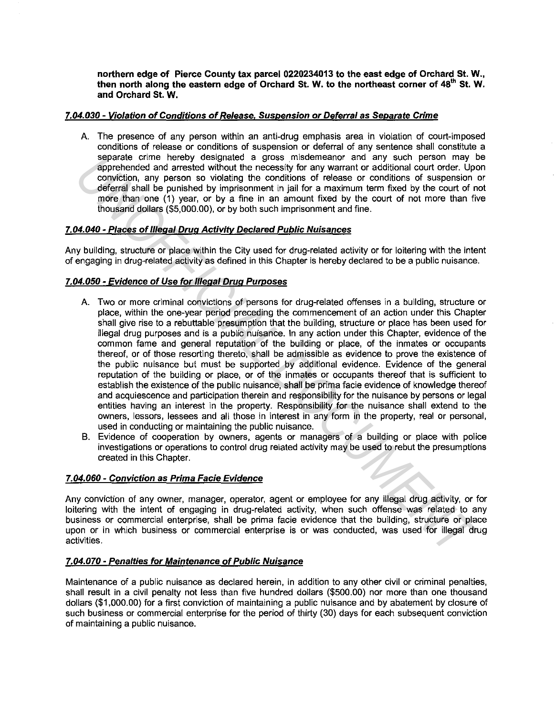**northern edge of Pierce County tax parcel 0220234013 to the east edge of Orchard St. W., then north along the eastern edge of Orchard St. W. to the northeast corner of 48<sup>1</sup> " St. W. and Orchard St. W.** 

# **7.04.030 - Violation of Conditions of Re/ease, Suspension or Deferral as Separate Crime**

A. The presence of any person within an anti-drug emphasis area in violation of court-imposed conditions of release or conditions of suspension or deferral of any sentence shall constitute a separate crime hereby designated a gross misdemeanor and any such person may be apprehended and arrested without the necessity for any warrant or additional court order. Upon conviction, any person so violating the conditions of release or conditions of suspension or deferral shall be punished by imprisonment in jail for a maximum term fixed by the court of not more than one (1) year, or by a fine in an amount fixed by the court of not more than five thousand dollars (\$5,000.00), or by both such imprisonment and fine.

# **7.04.040 - Places of Illegal Drug Activity Declared Public Nuisances**

Any building, structure or place within the City used for drug-related activity or for loitering with the intent of engaging in drug-related activity as defined in this Chapter is hereby declared to be a public nuisance.

# **7.04.050 - Evidence of Use for Illegal Drug Purposes**

- A. Two or more criminal convictions of persons for drug-related offenses in a building, structure or place, within the one-year period preceding the commencement of an action under this Chapter shall give rise to a rebuttable presumption that the building, structure or place has been used for illegal drug purposes and is a public nuisance. In any action under this Chapter, evidence of the common fame and general reputation of the building or place, of the inmates or occupants thereof, or of those resorting thereto, shall be admissible as evidence to prove the existence of the public nuisance but must be supported by additional evidence. Evidence of the general reputation of the building or place, or of the inmates or occupants thereof that is sufficient to establish the existence of the public nuisance, shall be prima facie evidence of knowledge thereof and acquiescence and participation therein and responsibility for the nuisance by persons or legal entities having an interest in the property. Responsibility for the nuisance shall extend to the owners, lessors, lessees and all those in interest in any form in the property, real or personal, used in conducting or maintaining the public nuisance. separate crime hereby designated a gross massemation any such person may be<br>approhended and are steal without the necessity for any warrant or actitional ocut order. Upon<br>deformal shall be punished by implisionment in jail
- B. Evidence of cooperation by owners, agents or managers of a building or place with police investigations or operations to control drug related activity may be used to rebut the presumptions created in this Chapter.

## **7.04.060 - Conviction as Prima Facie Evidence**

Any conviction of any owner, manager, operator, agent or employee for any illegal drug activity, or for loitering with the intent of engaging in drug-related activity, when such offense was related to any business or commercial enterprise, shall be prima facie evidence that the building, structure or place upon or in which business or commercial enterprise is or was conducted, was used for illegal drug activities.

## **7.04.070 - Penalties for Maintenance of Public Nuisance**

Maintenance of a public nuisance as declared herein, in addition to any other civil or criminal penalties, shall result in a civil penalty not less than five hundred dollars (\$500.00) nor more than one thousand dollars (\$1,000.00) for a first conviction of maintaining a public nuisance and by abatement by closure of such business or commercial enterprise for the period of thirty (30) days for each subsequent conviction of maintaining a public nuisance.